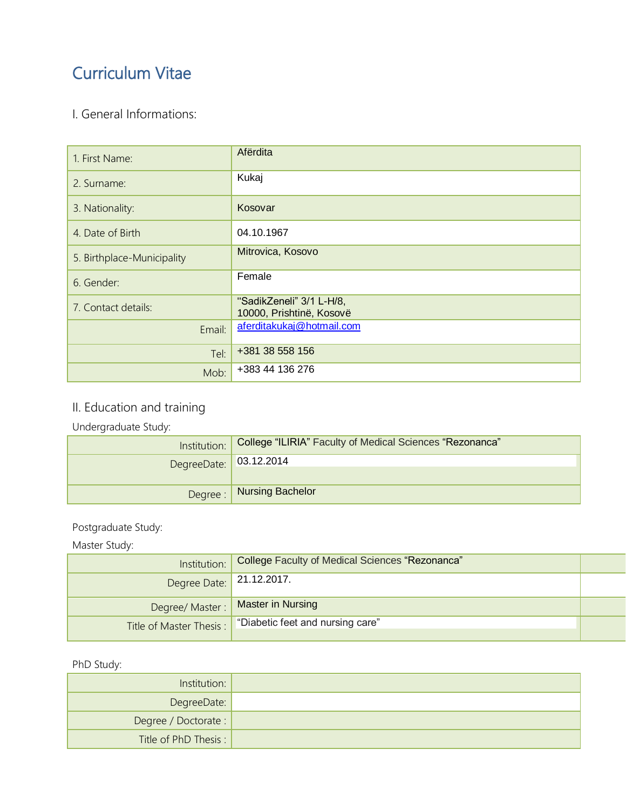# Curriculum Vitae

### I. General Informations:

| 1. First Name:             | Afërdita                                             |
|----------------------------|------------------------------------------------------|
| 2. Surname:                | Kukaj                                                |
| 3. Nationality:            | Kosovar                                              |
| 4. Date of Birth           | 04.10.1967                                           |
| 5. Birthplace-Municipality | Mitrovica, Kosovo                                    |
| 6. Gender:                 | Female                                               |
| 7. Contact details:        | "SadikZeneli" 3/1 L-H/8,<br>10000, Prishtinë, Kosovë |
| Email:                     | aferditakukaj@hotmail.com                            |
| Tel:                       | +381 38 558 156                                      |
| Mob:                       | +383 44 136 276                                      |

# II. Education and training

Undergraduate Study:

|                        | Institution:   College "ILIRIA" Faculty of Medical Sciences "Rezonanca" |  |
|------------------------|-------------------------------------------------------------------------|--|
| DegreeDate: 03.12.2014 |                                                                         |  |
|                        | Degree :   Nursing Bachelor                                             |  |

#### Postgraduate Study:

#### Master Study:

| Institution:             | College Faculty of Medical Sciences "Rezonanca"             |  |
|--------------------------|-------------------------------------------------------------|--|
| Degree Date: 21.12.2017. |                                                             |  |
|                          | Degree/ Master :   Master in Nursing                        |  |
|                          | Title of Master Thesis :   "Diabetic feet and nursing care" |  |

#### PhD Study:

| Institution:          |  |
|-----------------------|--|
| DegreeDate:           |  |
| Degree / Doctorate :  |  |
| Title of PhD Thesis : |  |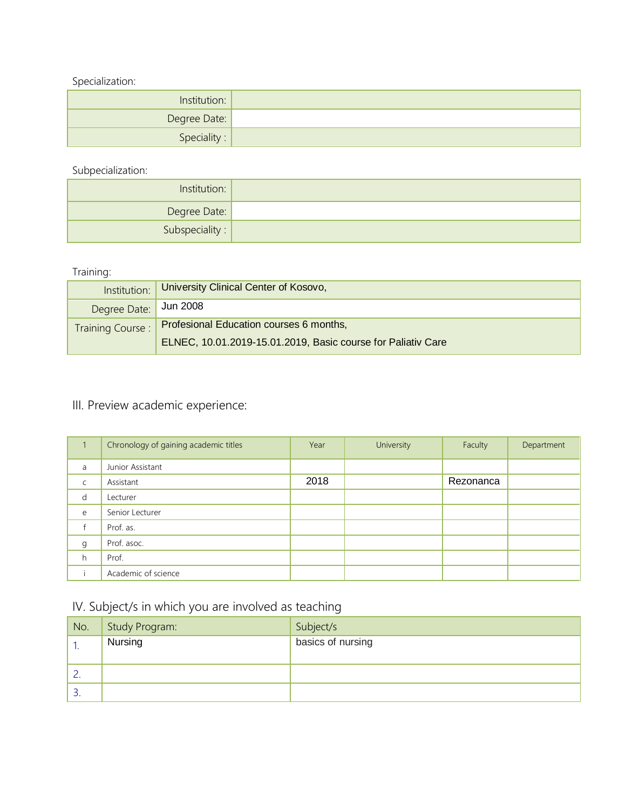Specialization:

| Institution: |  |
|--------------|--|
| Degree Date: |  |
| Speciality:  |  |

Subpecialization:

| Institution:            |  |
|-------------------------|--|
| Degree Date:            |  |
| Subspeciality : $\vert$ |  |

#### Training:

| Institution:          | University Clinical Center of Kosovo,                        |
|-----------------------|--------------------------------------------------------------|
| Degree Date: Jun 2008 |                                                              |
| Training Course:      | Profesional Education courses 6 months,                      |
|                       | ELNEC, 10.01.2019-15.01.2019, Basic course for Paliativ Care |

# III. Preview academic experience:

|             | Chronology of gaining academic titles | Year | University | Faculty   | Department |
|-------------|---------------------------------------|------|------------|-----------|------------|
| a           | Junior Assistant                      |      |            |           |            |
| $\mathsf C$ | Assistant                             | 2018 |            | Rezonanca |            |
| d           | Lecturer                              |      |            |           |            |
| e           | Senior Lecturer                       |      |            |           |            |
| f           | Prof. as.                             |      |            |           |            |
| g           | Prof. asoc.                           |      |            |           |            |
| h.          | Prof.                                 |      |            |           |            |
|             | Academic of science                   |      |            |           |            |

### IV. Subject/s in which you are involved as teaching

| No.      | Study Program: | Subject/s         |
|----------|----------------|-------------------|
|          | Nursing        | basics of nursing |
|          |                |                   |
| <u>.</u> |                |                   |
| <u>.</u> |                |                   |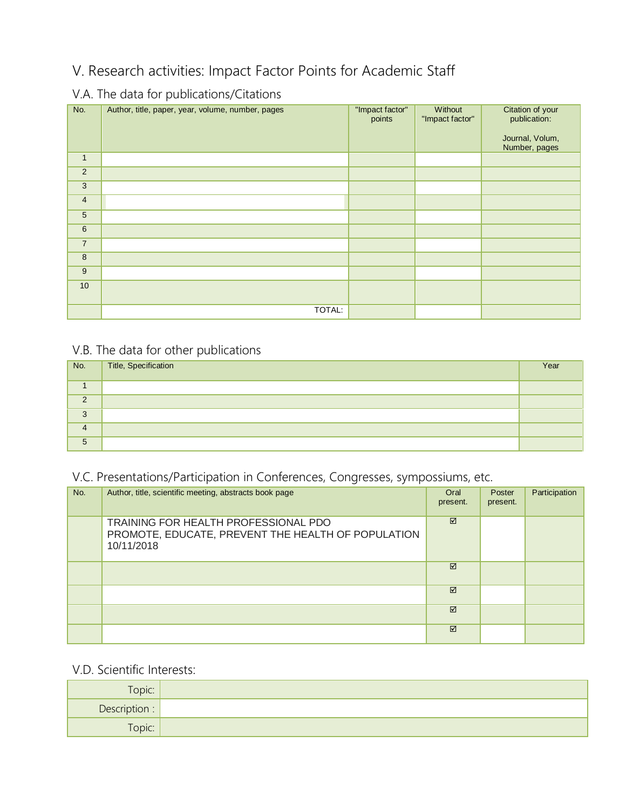# V. Research activities: Impact Factor Points for Academic Staff

## V.A. The data for publications/Citations

| No.             | Author, title, paper, year, volume, number, pages | "Impact factor"<br>points | Without<br>"Impact factor" | Citation of your<br>publication:<br>Journal, Volum,<br>Number, pages |
|-----------------|---------------------------------------------------|---------------------------|----------------------------|----------------------------------------------------------------------|
| $\mathbf{1}$    |                                                   |                           |                            |                                                                      |
| $\overline{2}$  |                                                   |                           |                            |                                                                      |
| 3               |                                                   |                           |                            |                                                                      |
| $\overline{4}$  |                                                   |                           |                            |                                                                      |
| $5\overline{)}$ |                                                   |                           |                            |                                                                      |
| $\,6\,$         |                                                   |                           |                            |                                                                      |
| $\overline{7}$  |                                                   |                           |                            |                                                                      |
| 8               |                                                   |                           |                            |                                                                      |
| $\overline{9}$  |                                                   |                           |                            |                                                                      |
| 10 <sup>1</sup> |                                                   |                           |                            |                                                                      |
|                 | TOTAL:                                            |                           |                            |                                                                      |

### V.B. The data for other publications

| No.      | Title, Specification | Year |
|----------|----------------------|------|
|          |                      |      |
| $\Omega$ |                      |      |
| 3        |                      |      |
| 4        |                      |      |
| 5        |                      |      |

### V.C. Presentations/Participation in Conferences, Congresses, sympossiums, etc.

| No. | Author, title, scientific meeting, abstracts book page                                                   | Oral<br>present. | Poster<br>present. | Participation |
|-----|----------------------------------------------------------------------------------------------------------|------------------|--------------------|---------------|
|     | TRAINING FOR HEALTH PROFESSIONAL PDO<br>PROMOTE, EDUCATE, PREVENT THE HEALTH OF POPULATION<br>10/11/2018 | ☑                |                    |               |
|     |                                                                                                          | ☑                |                    |               |
|     |                                                                                                          | ☑                |                    |               |
|     |                                                                                                          | ☑                |                    |               |
|     |                                                                                                          | ☑                |                    |               |

#### V.D. Scientific Interests:

| Topic:        |  |
|---------------|--|
| Description : |  |
| Topic:        |  |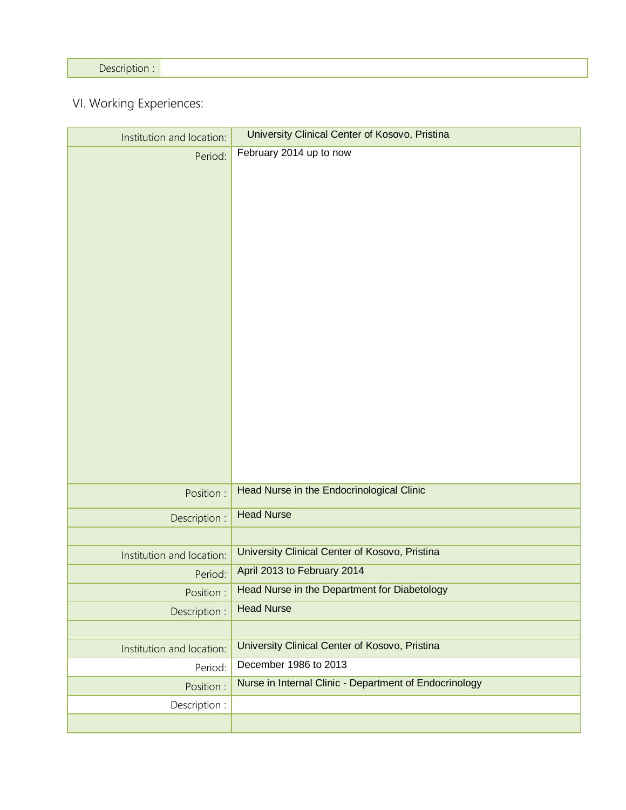Description :

VI. Working Experiences:

| Institution and location: | University Clinical Center of Kosovo, Pristina         |
|---------------------------|--------------------------------------------------------|
| Period:                   | February 2014 up to now                                |
| Position :                | Head Nurse in the Endocrinological Clinic              |
| Description :             | <b>Head Nurse</b>                                      |
|                           |                                                        |
| Institution and location: | University Clinical Center of Kosovo, Pristina         |
| Period:                   | April 2013 to February 2014                            |
| Position :                | Head Nurse in the Department for Diabetology           |
| Description :             | <b>Head Nurse</b>                                      |
|                           |                                                        |
| Institution and location: | University Clinical Center of Kosovo, Pristina         |
| Period:                   | December 1986 to 2013                                  |
| Position :                | Nurse in Internal Clinic - Department of Endocrinology |
| Description :             |                                                        |
|                           |                                                        |